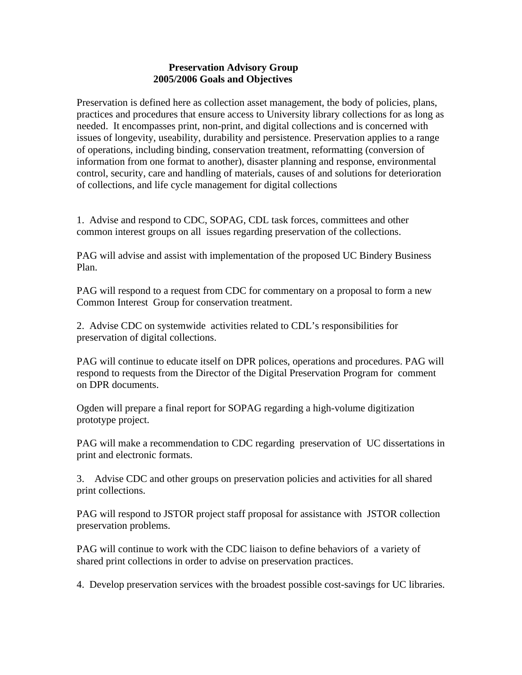## **Preservation Advisory Group 2005/2006 Goals and Objectives**

Preservation is defined here as collection asset management, the body of policies, plans, practices and procedures that ensure access to University library collections for as long as needed. It encompasses print, non-print, and digital collections and is concerned with issues of longevity, useability, durability and persistence. Preservation applies to a range of operations, including binding, conservation treatment, reformatting (conversion of information from one format to another), disaster planning and response, environmental control, security, care and handling of materials, causes of and solutions for deterioration of collections, and life cycle management for digital collections

1. Advise and respond to CDC, SOPAG, CDL task forces, committees and other common interest groups on all issues regarding preservation of the collections.

PAG will advise and assist with implementation of the proposed UC Bindery Business Plan.

PAG will respond to a request from CDC for commentary on a proposal to form a new Common Interest Group for conservation treatment.

2. Advise CDC on systemwide activities related to CDL's responsibilities for preservation of digital collections.

PAG will continue to educate itself on DPR polices, operations and procedures. PAG will respond to requests from the Director of the Digital Preservation Program for comment on DPR documents.

Ogden will prepare a final report for SOPAG regarding a high-volume digitization prototype project.

PAG will make a recommendation to CDC regarding preservation of UC dissertations in print and electronic formats.

3. Advise CDC and other groups on preservation policies and activities for all shared print collections.

PAG will respond to JSTOR project staff proposal for assistance with JSTOR collection preservation problems.

PAG will continue to work with the CDC liaison to define behaviors of a variety of shared print collections in order to advise on preservation practices.

4. Develop preservation services with the broadest possible cost-savings for UC libraries.